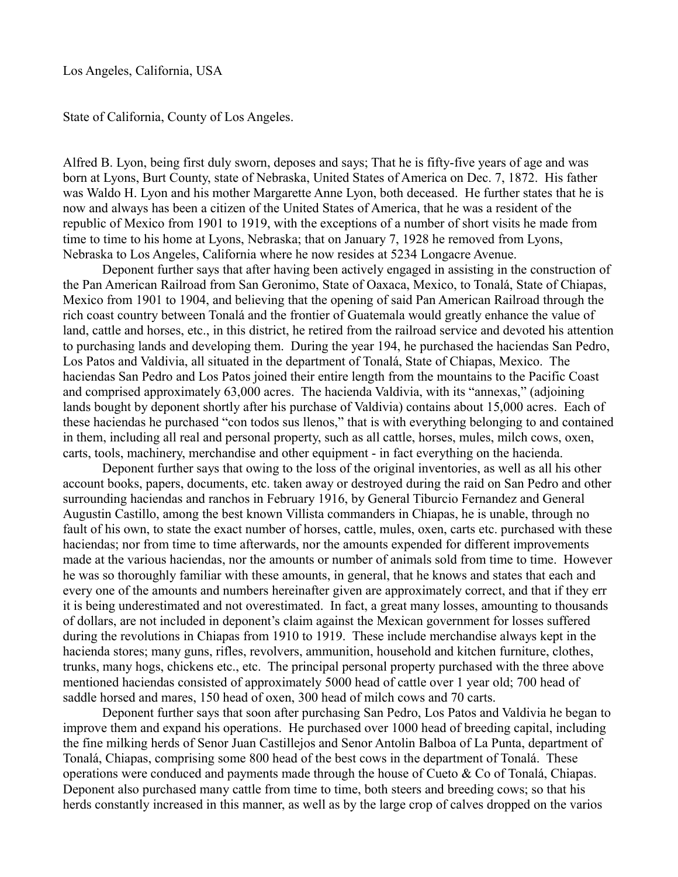Los Angeles, California, USA

State of California, County of Los Angeles.

Alfred B. Lyon, being first duly sworn, deposes and says; That he is fifty-five years of age and was born at Lyons, Burt County, state of Nebraska, United States of America on Dec. 7, 1872. His father was Waldo H. Lyon and his mother Margarette Anne Lyon, both deceased. He further states that he is now and always has been a citizen of the United States of America, that he was a resident of the republic of Mexico from 1901 to 1919, with the exceptions of a number of short visits he made from time to time to his home at Lyons, Nebraska; that on January 7, 1928 he removed from Lyons, Nebraska to Los Angeles, California where he now resides at 5234 Longacre Avenue.

Deponent further says that after having been actively engaged in assisting in the construction of the Pan American Railroad from San Geronimo, State of Oaxaca, Mexico, to Tonalá, State of Chiapas, Mexico from 1901 to 1904, and believing that the opening of said Pan American Railroad through the rich coast country between Tonalá and the frontier of Guatemala would greatly enhance the value of land, cattle and horses, etc., in this district, he retired from the railroad service and devoted his attention to purchasing lands and developing them. During the year 194, he purchased the haciendas San Pedro, Los Patos and Valdivia, all situated in the department of Tonalá, State of Chiapas, Mexico. The haciendas San Pedro and Los Patos joined their entire length from the mountains to the Pacific Coast and comprised approximately 63,000 acres. The hacienda Valdivia, with its "annexas," (adjoining lands bought by deponent shortly after his purchase of Valdivia) contains about 15,000 acres. Each of these haciendas he purchased "con todos sus llenos," that is with everything belonging to and contained in them, including all real and personal property, such as all cattle, horses, mules, milch cows, oxen, carts, tools, machinery, merchandise and other equipment - in fact everything on the hacienda.

Deponent further says that owing to the loss of the original inventories, as well as all his other account books, papers, documents, etc. taken away or destroyed during the raid on San Pedro and other surrounding haciendas and ranchos in February 1916, by General Tiburcio Fernandez and General Augustin Castillo, among the best known Villista commanders in Chiapas, he is unable, through no fault of his own, to state the exact number of horses, cattle, mules, oxen, carts etc. purchased with these haciendas; nor from time to time afterwards, nor the amounts expended for different improvements made at the various haciendas, nor the amounts or number of animals sold from time to time. However he was so thoroughly familiar with these amounts, in general, that he knows and states that each and every one of the amounts and numbers hereinafter given are approximately correct, and that if they err it is being underestimated and not overestimated. In fact, a great many losses, amounting to thousands of dollars, are not included in deponent's claim against the Mexican government for losses suffered during the revolutions in Chiapas from 1910 to 1919. These include merchandise always kept in the hacienda stores; many guns, rifles, revolvers, ammunition, household and kitchen furniture, clothes, trunks, many hogs, chickens etc., etc. The principal personal property purchased with the three above mentioned haciendas consisted of approximately 5000 head of cattle over 1 year old; 700 head of saddle horsed and mares, 150 head of oxen, 300 head of milch cows and 70 carts.

Deponent further says that soon after purchasing San Pedro, Los Patos and Valdivia he began to improve them and expand his operations. He purchased over 1000 head of breeding capital, including the fine milking herds of Senor Juan Castillejos and Senor Antolin Balboa of La Punta, department of Tonalá, Chiapas, comprising some 800 head of the best cows in the department of Tonalá. These operations were conduced and payments made through the house of Cueto & Co of Tonalá, Chiapas. Deponent also purchased many cattle from time to time, both steers and breeding cows; so that his herds constantly increased in this manner, as well as by the large crop of calves dropped on the varios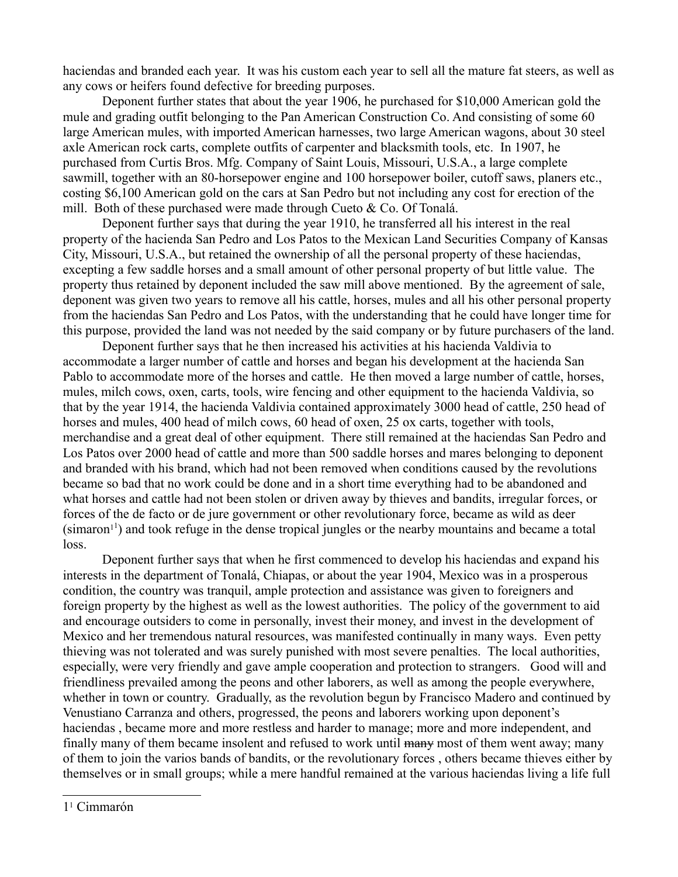haciendas and branded each year. It was his custom each year to sell all the mature fat steers, as well as any cows or heifers found defective for breeding purposes.

Deponent further states that about the year 1906, he purchased for \$10,000 American gold the mule and grading outfit belonging to the Pan American Construction Co. And consisting of some 60 large American mules, with imported American harnesses, two large American wagons, about 30 steel axle American rock carts, complete outfits of carpenter and blacksmith tools, etc. In 1907, he purchased from Curtis Bros. Mfg. Company of Saint Louis, Missouri, U.S.A., a large complete sawmill, together with an 80-horsepower engine and 100 horsepower boiler, cutoff saws, planers etc., costing \$6,100 American gold on the cars at San Pedro but not including any cost for erection of the mill. Both of these purchased were made through Cueto  $& Co.$  Of Tonalá.

Deponent further says that during the year 1910, he transferred all his interest in the real property of the hacienda San Pedro and Los Patos to the Mexican Land Securities Company of Kansas City, Missouri, U.S.A., but retained the ownership of all the personal property of these haciendas, excepting a few saddle horses and a small amount of other personal property of but little value. The property thus retained by deponent included the saw mill above mentioned. By the agreement of sale, deponent was given two years to remove all his cattle, horses, mules and all his other personal property from the haciendas San Pedro and Los Patos, with the understanding that he could have longer time for this purpose, provided the land was not needed by the said company or by future purchasers of the land.

Deponent further says that he then increased his activities at his hacienda Valdivia to accommodate a larger number of cattle and horses and began his development at the hacienda San Pablo to accommodate more of the horses and cattle. He then moved a large number of cattle, horses, mules, milch cows, oxen, carts, tools, wire fencing and other equipment to the hacienda Valdivia, so that by the year 1914, the hacienda Valdivia contained approximately 3000 head of cattle, 250 head of horses and mules, 400 head of milch cows, 60 head of oxen, 25 ox carts, together with tools, merchandise and a great deal of other equipment. There still remained at the haciendas San Pedro and Los Patos over 2000 head of cattle and more than 500 saddle horses and mares belonging to deponent and branded with his brand, which had not been removed when conditions caused by the revolutions became so bad that no work could be done and in a short time everything had to be abandoned and what horses and cattle had not been stolen or driven away by thieves and bandits, irregular forces, or forces of the de facto or de jure government or other revolutionary force, became as wild as deer  $(\text{simaron}^{11})$  $(\text{simaron}^{11})$  $(\text{simaron}^{11})$  and took refuge in the dense tropical jungles or the nearby mountains and became a total loss.

<span id="page-1-0"></span>Deponent further says that when he first commenced to develop his haciendas and expand his interests in the department of Tonalá, Chiapas, or about the year 1904, Mexico was in a prosperous condition, the country was tranquil, ample protection and assistance was given to foreigners and foreign property by the highest as well as the lowest authorities. The policy of the government to aid and encourage outsiders to come in personally, invest their money, and invest in the development of Mexico and her tremendous natural resources, was manifested continually in many ways. Even petty thieving was not tolerated and was surely punished with most severe penalties. The local authorities, especially, were very friendly and gave ample cooperation and protection to strangers. Good will and friendliness prevailed among the peons and other laborers, as well as among the people everywhere, whether in town or country. Gradually, as the revolution begun by Francisco Madero and continued by Venustiano Carranza and others, progressed, the peons and laborers working upon deponent's haciendas , became more and more restless and harder to manage; more and more independent, and finally many of them became insolent and refused to work until many most of them went away; many of them to join the varios bands of bandits, or the revolutionary forces , others became thieves either by themselves or in small groups; while a mere handful remained at the various haciendas living a life full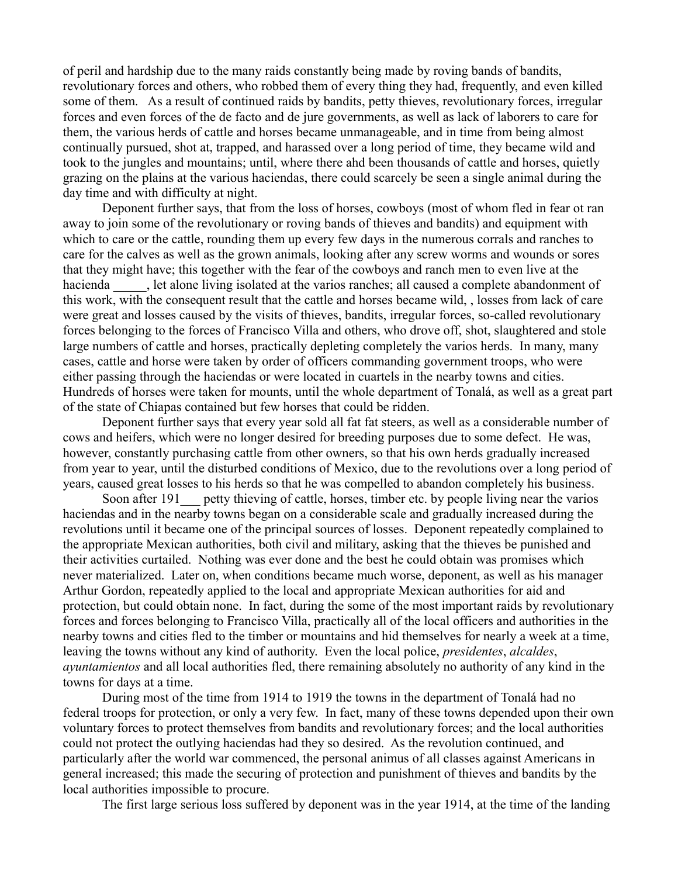of peril and hardship due to the many raids constantly being made by roving bands of bandits, revolutionary forces and others, who robbed them of every thing they had, frequently, and even killed some of them. As a result of continued raids by bandits, petty thieves, revolutionary forces, irregular forces and even forces of the de facto and de jure governments, as well as lack of laborers to care for them, the various herds of cattle and horses became unmanageable, and in time from being almost continually pursued, shot at, trapped, and harassed over a long period of time, they became wild and took to the jungles and mountains; until, where there ahd been thousands of cattle and horses, quietly grazing on the plains at the various haciendas, there could scarcely be seen a single animal during the day time and with difficulty at night.

Deponent further says, that from the loss of horses, cowboys (most of whom fled in fear ot ran away to join some of the revolutionary or roving bands of thieves and bandits) and equipment with which to care or the cattle, rounding them up every few days in the numerous corrals and ranches to care for the calves as well as the grown animals, looking after any screw worms and wounds or sores that they might have; this together with the fear of the cowboys and ranch men to even live at the hacienda \_\_\_\_, let alone living isolated at the varios ranches; all caused a complete abandonment of this work, with the consequent result that the cattle and horses became wild, , losses from lack of care were great and losses caused by the visits of thieves, bandits, irregular forces, so-called revolutionary forces belonging to the forces of Francisco Villa and others, who drove off, shot, slaughtered and stole large numbers of cattle and horses, practically depleting completely the varios herds. In many, many cases, cattle and horse were taken by order of officers commanding government troops, who were either passing through the haciendas or were located in cuartels in the nearby towns and cities. Hundreds of horses were taken for mounts, until the whole department of Tonalá, as well as a great part of the state of Chiapas contained but few horses that could be ridden.

Deponent further says that every year sold all fat fat steers, as well as a considerable number of cows and heifers, which were no longer desired for breeding purposes due to some defect. He was, however, constantly purchasing cattle from other owners, so that his own herds gradually increased from year to year, until the disturbed conditions of Mexico, due to the revolutions over a long period of years, caused great losses to his herds so that he was compelled to abandon completely his business.

Soon after 191 petty thieving of cattle, horses, timber etc. by people living near the varios haciendas and in the nearby towns began on a considerable scale and gradually increased during the revolutions until it became one of the principal sources of losses. Deponent repeatedly complained to the appropriate Mexican authorities, both civil and military, asking that the thieves be punished and their activities curtailed. Nothing was ever done and the best he could obtain was promises which never materialized. Later on, when conditions became much worse, deponent, as well as his manager Arthur Gordon, repeatedly applied to the local and appropriate Mexican authorities for aid and protection, but could obtain none. In fact, during the some of the most important raids by revolutionary forces and forces belonging to Francisco Villa, practically all of the local officers and authorities in the nearby towns and cities fled to the timber or mountains and hid themselves for nearly a week at a time, leaving the towns without any kind of authority. Even the local police, *presidentes*, *alcaldes*, *ayuntamientos* and all local authorities fled, there remaining absolutely no authority of any kind in the towns for days at a time.

During most of the time from 1914 to 1919 the towns in the department of Tonalá had no federal troops for protection, or only a very few. In fact, many of these towns depended upon their own voluntary forces to protect themselves from bandits and revolutionary forces; and the local authorities could not protect the outlying haciendas had they so desired. As the revolution continued, and particularly after the world war commenced, the personal animus of all classes against Americans in general increased; this made the securing of protection and punishment of thieves and bandits by the local authorities impossible to procure.

The first large serious loss suffered by deponent was in the year 1914, at the time of the landing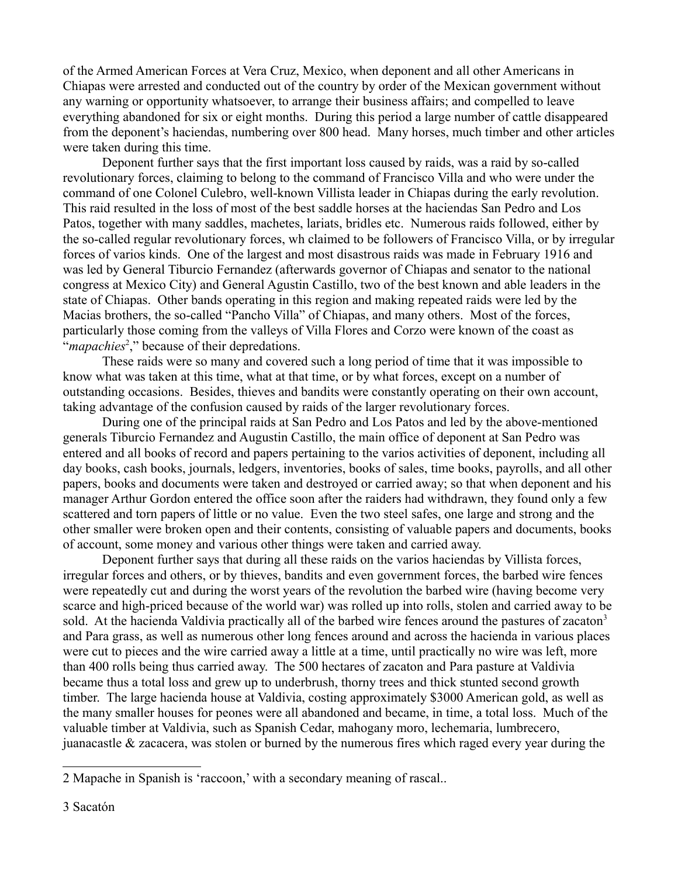of the Armed American Forces at Vera Cruz, Mexico, when deponent and all other Americans in Chiapas were arrested and conducted out of the country by order of the Mexican government without any warning or opportunity whatsoever, to arrange their business affairs; and compelled to leave everything abandoned for six or eight months. During this period a large number of cattle disappeared from the deponent's haciendas, numbering over 800 head. Many horses, much timber and other articles were taken during this time.

Deponent further says that the first important loss caused by raids, was a raid by so-called revolutionary forces, claiming to belong to the command of Francisco Villa and who were under the command of one Colonel Culebro, well-known Villista leader in Chiapas during the early revolution. This raid resulted in the loss of most of the best saddle horses at the haciendas San Pedro and Los Patos, together with many saddles, machetes, lariats, bridles etc. Numerous raids followed, either by the so-called regular revolutionary forces, wh claimed to be followers of Francisco Villa, or by irregular forces of varios kinds. One of the largest and most disastrous raids was made in February 1916 and was led by General Tiburcio Fernandez (afterwards governor of Chiapas and senator to the national congress at Mexico City) and General Agustin Castillo, two of the best known and able leaders in the state of Chiapas. Other bands operating in this region and making repeated raids were led by the Macias brothers, the so-called "Pancho Villa" of Chiapas, and many others. Most of the forces, particularly those coming from the valleys of Villa Flores and Corzo were known of the coast as "*mapachies*<sup>[2](#page-3-0)</sup>," because of their depredations.

These raids were so many and covered such a long period of time that it was impossible to know what was taken at this time, what at that time, or by what forces, except on a number of outstanding occasions. Besides, thieves and bandits were constantly operating on their own account, taking advantage of the confusion caused by raids of the larger revolutionary forces.

During one of the principal raids at San Pedro and Los Patos and led by the above-mentioned generals Tiburcio Fernandez and Augustin Castillo, the main office of deponent at San Pedro was entered and all books of record and papers pertaining to the varios activities of deponent, including all day books, cash books, journals, ledgers, inventories, books of sales, time books, payrolls, and all other papers, books and documents were taken and destroyed or carried away; so that when deponent and his manager Arthur Gordon entered the office soon after the raiders had withdrawn, they found only a few scattered and torn papers of little or no value. Even the two steel safes, one large and strong and the other smaller were broken open and their contents, consisting of valuable papers and documents, books of account, some money and various other things were taken and carried away.

Deponent further says that during all these raids on the varios haciendas by Villista forces, irregular forces and others, or by thieves, bandits and even government forces, the barbed wire fences were repeatedly cut and during the worst years of the revolution the barbed wire (having become very scarce and high-priced because of the world war) was rolled up into rolls, stolen and carried away to be sold. At the hacienda Valdivia practically all of the barbed wire fences around the pastures of zacaton<sup>[3](#page-3-1)</sup> and Para grass, as well as numerous other long fences around and across the hacienda in various places were cut to pieces and the wire carried away a little at a time, until practically no wire was left, more than 400 rolls being thus carried away. The 500 hectares of zacaton and Para pasture at Valdivia became thus a total loss and grew up to underbrush, thorny trees and thick stunted second growth timber. The large hacienda house at Valdivia, costing approximately \$3000 American gold, as well as the many smaller houses for peones were all abandoned and became, in time, a total loss. Much of the valuable timber at Valdivia, such as Spanish Cedar, mahogany moro, lechemaria, lumbrecero, juanacastle & zacacera, was stolen or burned by the numerous fires which raged every year during the

<span id="page-3-1"></span><span id="page-3-0"></span><sup>2</sup> Mapache in Spanish is 'raccoon,' with a secondary meaning of rascal..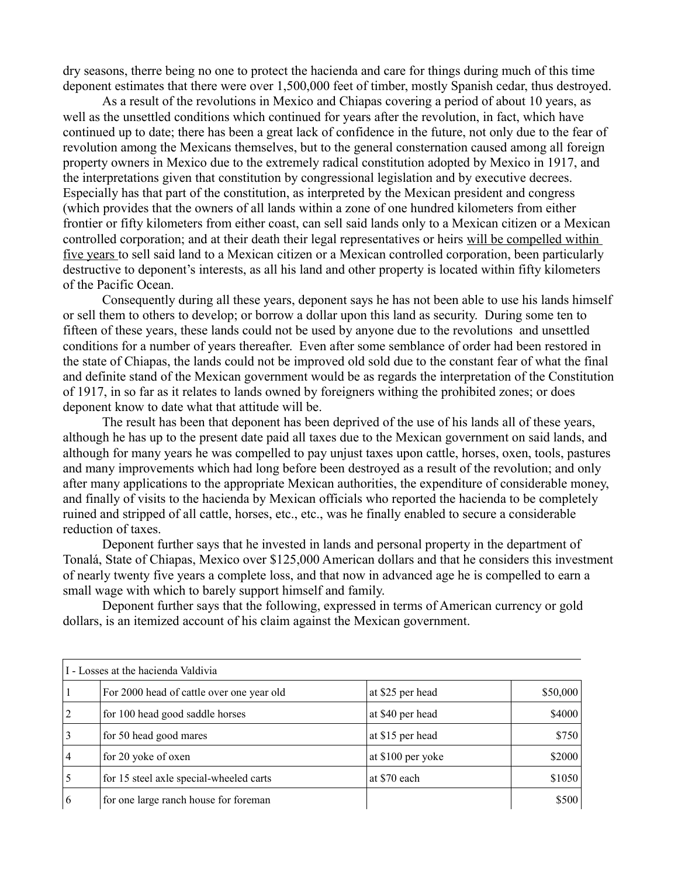dry seasons, therre being no one to protect the hacienda and care for things during much of this time deponent estimates that there were over 1,500,000 feet of timber, mostly Spanish cedar, thus destroyed.

As a result of the revolutions in Mexico and Chiapas covering a period of about 10 years, as well as the unsettled conditions which continued for years after the revolution, in fact, which have continued up to date; there has been a great lack of confidence in the future, not only due to the fear of revolution among the Mexicans themselves, but to the general consternation caused among all foreign property owners in Mexico due to the extremely radical constitution adopted by Mexico in 1917, and the interpretations given that constitution by congressional legislation and by executive decrees. Especially has that part of the constitution, as interpreted by the Mexican president and congress (which provides that the owners of all lands within a zone of one hundred kilometers from either frontier or fifty kilometers from either coast, can sell said lands only to a Mexican citizen or a Mexican controlled corporation; and at their death their legal representatives or heirs will be compelled within five years to sell said land to a Mexican citizen or a Mexican controlled corporation, been particularly destructive to deponent's interests, as all his land and other property is located within fifty kilometers of the Pacific Ocean.

Consequently during all these years, deponent says he has not been able to use his lands himself or sell them to others to develop; or borrow a dollar upon this land as security. During some ten to fifteen of these years, these lands could not be used by anyone due to the revolutions and unsettled conditions for a number of years thereafter. Even after some semblance of order had been restored in the state of Chiapas, the lands could not be improved old sold due to the constant fear of what the final and definite stand of the Mexican government would be as regards the interpretation of the Constitution of 1917, in so far as it relates to lands owned by foreigners withing the prohibited zones; or does deponent know to date what that attitude will be.

The result has been that deponent has been deprived of the use of his lands all of these years, although he has up to the present date paid all taxes due to the Mexican government on said lands, and although for many years he was compelled to pay unjust taxes upon cattle, horses, oxen, tools, pastures and many improvements which had long before been destroyed as a result of the revolution; and only after many applications to the appropriate Mexican authorities, the expenditure of considerable money, and finally of visits to the hacienda by Mexican officials who reported the hacienda to be completely ruined and stripped of all cattle, horses, etc., etc., was he finally enabled to secure a considerable reduction of taxes.

Deponent further says that he invested in lands and personal property in the department of Tonalá, State of Chiapas, Mexico over \$125,000 American dollars and that he considers this investment of nearly twenty five years a complete loss, and that now in advanced age he is compelled to earn a small wage with which to barely support himself and family.

Deponent further says that the following, expressed in terms of American currency or gold dollars, is an itemized account of his claim against the Mexican government.

| I - Losses at the hacienda Valdivia |                                           |                   |          |  |
|-------------------------------------|-------------------------------------------|-------------------|----------|--|
|                                     | For 2000 head of cattle over one year old | at \$25 per head  | \$50,000 |  |
| $\overline{2}$                      | for 100 head good saddle horses           | at \$40 per head  | \$4000   |  |
| $\overline{3}$                      | for 50 head good mares                    | at \$15 per head  | \$750    |  |
| $\overline{4}$                      | for 20 yoke of oxen                       | at \$100 per yoke | \$2000   |  |
| 5                                   | for 15 steel axle special-wheeled carts   | at \$70 each      | \$1050   |  |
| 6                                   | for one large ranch house for foreman     |                   | \$500    |  |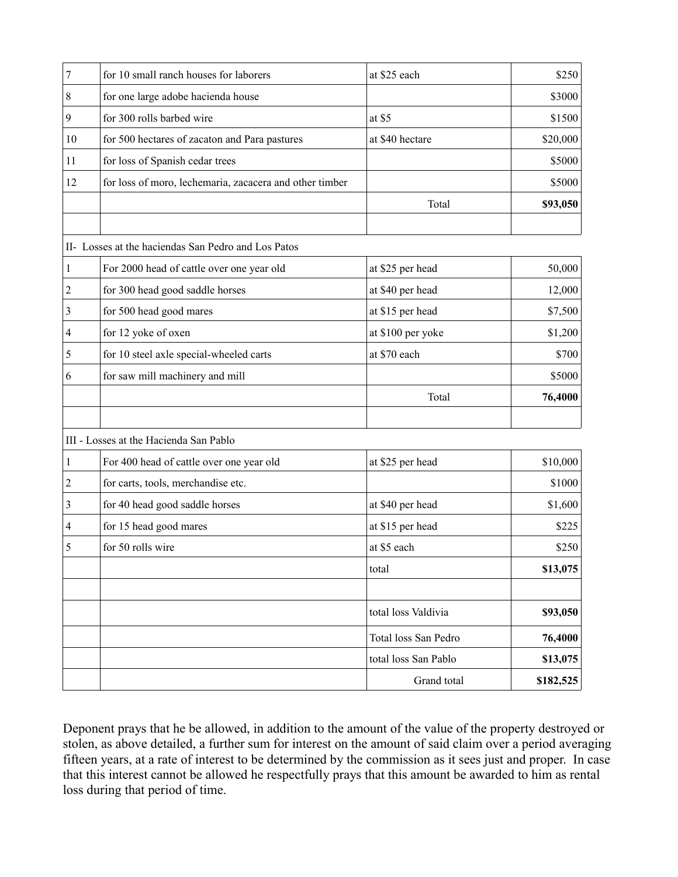| 7              | for 10 small ranch houses for laborers                  | at \$25 each         | \$250     |
|----------------|---------------------------------------------------------|----------------------|-----------|
| 8              | for one large adobe hacienda house                      |                      | \$3000    |
| 9              | for 300 rolls barbed wire                               | at \$5               | \$1500    |
| 10             | for 500 hectares of zacaton and Para pastures           | at \$40 hectare      | \$20,000  |
| 11             | for loss of Spanish cedar trees                         |                      | \$5000    |
| 12             | for loss of moro, lechemaria, zacacera and other timber |                      | \$5000    |
|                |                                                         | Total                | \$93,050  |
|                |                                                         |                      |           |
|                | II- Losses at the haciendas San Pedro and Los Patos     |                      |           |
| 1              | For 2000 head of cattle over one year old               | at \$25 per head     | 50,000    |
| $\overline{2}$ | for 300 head good saddle horses                         | at \$40 per head     | 12,000    |
| 3              | for 500 head good mares                                 | at \$15 per head     | \$7,500   |
| 4              | for 12 yoke of oxen                                     | at \$100 per yoke    | \$1,200   |
| 5              | for 10 steel axle special-wheeled carts                 | at \$70 each         | \$700     |
| 6              | for saw mill machinery and mill                         |                      | \$5000    |
|                |                                                         | Total                | 76,4000   |
|                | III - Losses at the Hacienda San Pablo                  |                      |           |
| 1              | For 400 head of cattle over one year old                | at \$25 per head     | \$10,000  |
| $\overline{c}$ | for carts, tools, merchandise etc.                      |                      | \$1000    |
| 3              | for 40 head good saddle horses                          | at \$40 per head     | \$1,600   |
| 4              | for 15 head good mares                                  | at \$15 per head     | \$225     |
| 5              | for 50 rolls wire                                       | at \$5 each          | \$250     |
|                |                                                         | total                | \$13,075  |
|                |                                                         | total loss Valdivia  | \$93,050  |
|                |                                                         | Total loss San Pedro | 76,4000   |
|                |                                                         | total loss San Pablo | \$13,075  |
|                |                                                         | Grand total          | \$182,525 |

Deponent prays that he be allowed, in addition to the amount of the value of the property destroyed or stolen, as above detailed, a further sum for interest on the amount of said claim over a period averaging fifteen years, at a rate of interest to be determined by the commission as it sees just and proper. In case that this interest cannot be allowed he respectfully prays that this amount be awarded to him as rental loss during that period of time.